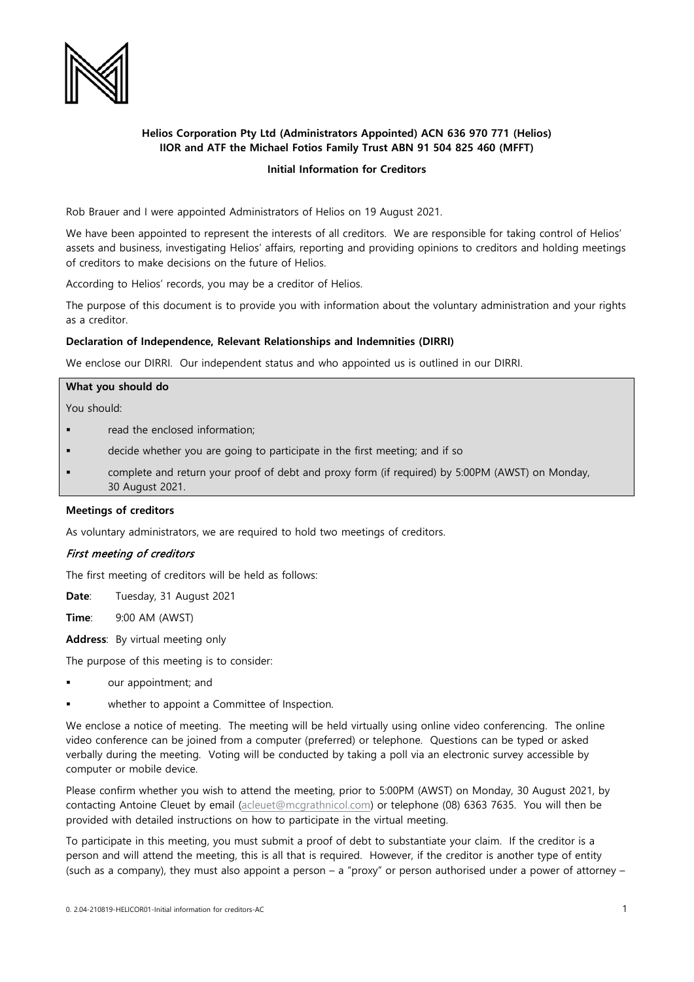

# **Helios Corporation Pty Ltd (Administrators Appointed) ACN 636 970 771 (Helios) IIOR and ATF the Michael Fotios Family Trust ABN 91 504 825 460 (MFFT)**

# **Initial Information for Creditors**

Rob Brauer and I were appointed Administrators of Helios on 19 August 2021.

We have been appointed to represent the interests of all creditors. We are responsible for taking control of Helios' assets and business, investigating Helios' affairs, reporting and providing opinions to creditors and holding meetings of creditors to make decisions on the future of Helios.

According to Helios' records, you may be a creditor of Helios.

The purpose of this document is to provide you with information about the voluntary administration and your rights as a creditor.

#### **Declaration of Independence, Relevant Relationships and Indemnities (DIRRI)**

We enclose our DIRRI. Our independent status and who appointed us is outlined in our DIRRI.

#### **What you should do**

You should:

- read the enclosed information;
- decide whether you are going to participate in the first meeting; and if so
- complete and return your proof of debt and proxy form (if required) by 5:00PM (AWST) on Monday, 30 August 2021.

#### **Meetings of creditors**

As voluntary administrators, we are required to hold two meetings of creditors.

#### First meeting of creditors

The first meeting of creditors will be held as follows:

**Date**: Tuesday, 31 August 2021

**Time**: 9:00 AM (AWST)

**Address**: By virtual meeting only

The purpose of this meeting is to consider:

- our appointment; and
- whether to appoint a Committee of Inspection.

We enclose a notice of meeting. The meeting will be held virtually using online video conferencing. The online video conference can be joined from a computer (preferred) or telephone. Questions can be typed or asked verbally during the meeting. Voting will be conducted by taking a poll via an electronic survey accessible by computer or mobile device.

Please confirm whether you wish to attend the meeting, prior to 5:00PM (AWST) on Monday, 30 August 2021, by contacting Antoine Cleuet by email [\(acleuet@mcgrathnicol.com\)](mailto:acleuet@mcgrathnicol.com) or telephone (08) 6363 7635. You will then be provided with detailed instructions on how to participate in the virtual meeting.

To participate in this meeting, you must submit a proof of debt to substantiate your claim. If the creditor is a person and will attend the meeting, this is all that is required. However, if the creditor is another type of entity (such as a company), they must also appoint a person – a "proxy" or person authorised under a power of attorney –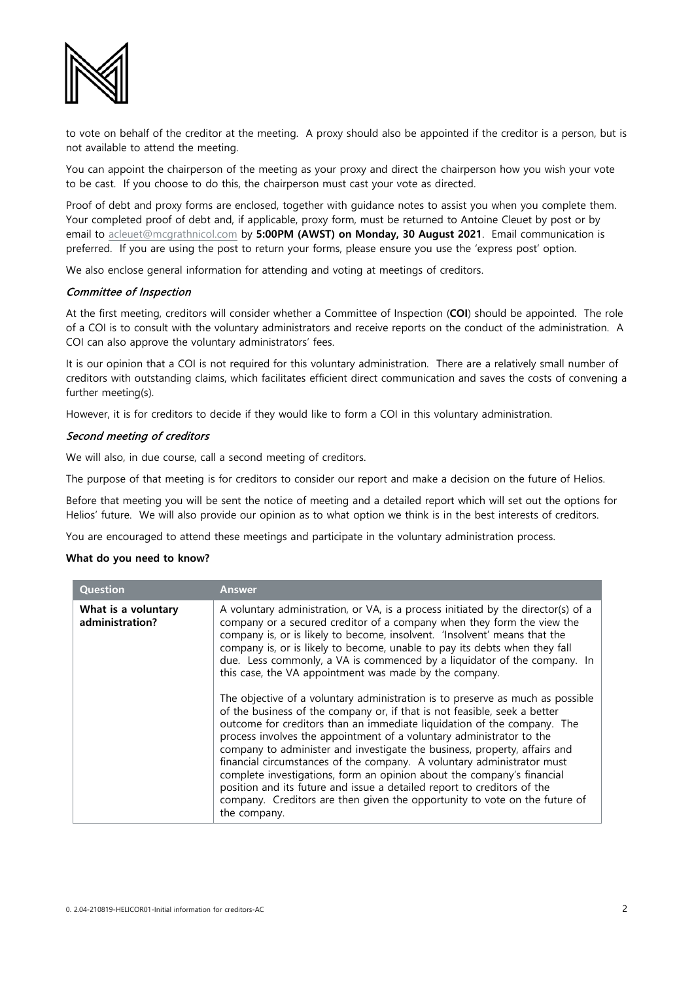

to vote on behalf of the creditor at the meeting. A proxy should also be appointed if the creditor is a person, but is not available to attend the meeting.

You can appoint the chairperson of the meeting as your proxy and direct the chairperson how you wish your vote to be cast. If you choose to do this, the chairperson must cast your vote as directed.

Proof of debt and proxy forms are enclosed, together with guidance notes to assist you when you complete them. Your completed proof of debt and, if applicable, proxy form, must be returned to Antoine Cleuet by post or by email to [acleuet@mcgrathnicol.com](mailto:acleuet@mcgrathnicol.com) by **5:00PM (AWST) on Monday, 30 August 2021**. Email communication is preferred. If you are using the post to return your forms, please ensure you use the 'express post' option.

We also enclose general information for attending and voting at meetings of creditors.

# Committee of Inspection

At the first meeting, creditors will consider whether a Committee of Inspection (**COI**) should be appointed. The role of a COI is to consult with the voluntary administrators and receive reports on the conduct of the administration. A COI can also approve the voluntary administrators' fees.

It is our opinion that a COI is not required for this voluntary administration. There are a relatively small number of creditors with outstanding claims, which facilitates efficient direct communication and saves the costs of convening a further meeting(s).

However, it is for creditors to decide if they would like to form a COI in this voluntary administration.

# Second meeting of creditors

We will also, in due course, call a second meeting of creditors.

The purpose of that meeting is for creditors to consider our report and make a decision on the future of Helios.

Before that meeting you will be sent the notice of meeting and a detailed report which will set out the options for Helios' future. We will also provide our opinion as to what option we think is in the best interests of creditors.

You are encouraged to attend these meetings and participate in the voluntary administration process.

# **What do you need to know?**

| Question                               | Answer                                                                                                                                                                                                                                                                                                                                                                                                                                                                                                                                                                                                                                                                                                                                                                                                                                                                                                                                                                                                                                                                                     |
|----------------------------------------|--------------------------------------------------------------------------------------------------------------------------------------------------------------------------------------------------------------------------------------------------------------------------------------------------------------------------------------------------------------------------------------------------------------------------------------------------------------------------------------------------------------------------------------------------------------------------------------------------------------------------------------------------------------------------------------------------------------------------------------------------------------------------------------------------------------------------------------------------------------------------------------------------------------------------------------------------------------------------------------------------------------------------------------------------------------------------------------------|
| What is a voluntary<br>administration? | A voluntary administration, or VA, is a process initiated by the director(s) of a<br>company or a secured creditor of a company when they form the view the<br>company is, or is likely to become, insolvent. 'Insolvent' means that the<br>company is, or is likely to become, unable to pay its debts when they fall<br>due. Less commonly, a VA is commenced by a liquidator of the company. In<br>this case, the VA appointment was made by the company.<br>The objective of a voluntary administration is to preserve as much as possible<br>of the business of the company or, if that is not feasible, seek a better<br>outcome for creditors than an immediate liquidation of the company. The<br>process involves the appointment of a voluntary administrator to the<br>company to administer and investigate the business, property, affairs and<br>financial circumstances of the company. A voluntary administrator must<br>complete investigations, form an opinion about the company's financial<br>position and its future and issue a detailed report to creditors of the |
|                                        | company. Creditors are then given the opportunity to vote on the future of<br>the company.                                                                                                                                                                                                                                                                                                                                                                                                                                                                                                                                                                                                                                                                                                                                                                                                                                                                                                                                                                                                 |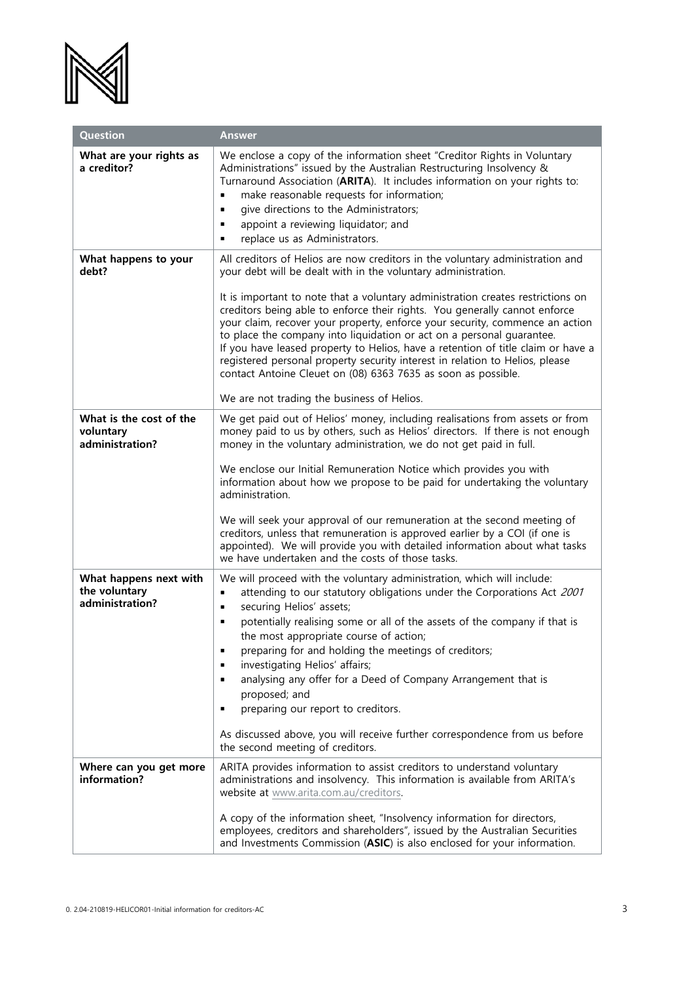

| Question                                                   | <b>Answer</b>                                                                                                                                                                                                                                                                                                                                                                                                                                                                                                                                                                                                                                                                                                                                               |
|------------------------------------------------------------|-------------------------------------------------------------------------------------------------------------------------------------------------------------------------------------------------------------------------------------------------------------------------------------------------------------------------------------------------------------------------------------------------------------------------------------------------------------------------------------------------------------------------------------------------------------------------------------------------------------------------------------------------------------------------------------------------------------------------------------------------------------|
| What are your rights as<br>a creditor?                     | We enclose a copy of the information sheet "Creditor Rights in Voluntary<br>Administrations" issued by the Australian Restructuring Insolvency &<br>Turnaround Association (ARITA). It includes information on your rights to:<br>make reasonable requests for information;<br>٠<br>give directions to the Administrators;<br>٠<br>appoint a reviewing liquidator; and<br>∎<br>replace us as Administrators.<br>٠                                                                                                                                                                                                                                                                                                                                           |
| What happens to your<br>debt?                              | All creditors of Helios are now creditors in the voluntary administration and<br>your debt will be dealt with in the voluntary administration.<br>It is important to note that a voluntary administration creates restrictions on<br>creditors being able to enforce their rights. You generally cannot enforce<br>your claim, recover your property, enforce your security, commence an action<br>to place the company into liquidation or act on a personal guarantee.<br>If you have leased property to Helios, have a retention of title claim or have a<br>registered personal property security interest in relation to Helios, please<br>contact Antoine Cleuet on (08) 6363 7635 as soon as possible.<br>We are not trading the business of Helios. |
| What is the cost of the<br>voluntary<br>administration?    | We get paid out of Helios' money, including realisations from assets or from<br>money paid to us by others, such as Helios' directors. If there is not enough<br>money in the voluntary administration, we do not get paid in full.<br>We enclose our Initial Remuneration Notice which provides you with<br>information about how we propose to be paid for undertaking the voluntary<br>administration.<br>We will seek your approval of our remuneration at the second meeting of<br>creditors, unless that remuneration is approved earlier by a COI (if one is<br>appointed). We will provide you with detailed information about what tasks<br>we have undertaken and the costs of those tasks.                                                       |
| What happens next with<br>the voluntary<br>administration? | We will proceed with the voluntary administration, which will include:<br>attending to our statutory obligations under the Corporations Act 2001<br>٠<br>securing Helios' assets;<br>$\blacksquare$<br>potentially realising some or all of the assets of the company if that is<br>٠<br>the most appropriate course of action;<br>preparing for and holding the meetings of creditors;<br>investigating Helios' affairs;<br>٠<br>analysing any offer for a Deed of Company Arrangement that is<br>proposed; and<br>preparing our report to creditors.<br>٠<br>As discussed above, you will receive further correspondence from us before<br>the second meeting of creditors.                                                                               |
| Where can you get more<br>information?                     | ARITA provides information to assist creditors to understand voluntary<br>administrations and insolvency. This information is available from ARITA's<br>website at www.arita.com.au/creditors.<br>A copy of the information sheet, "Insolvency information for directors,<br>employees, creditors and shareholders", issued by the Australian Securities<br>and Investments Commission (ASIC) is also enclosed for your information.                                                                                                                                                                                                                                                                                                                        |